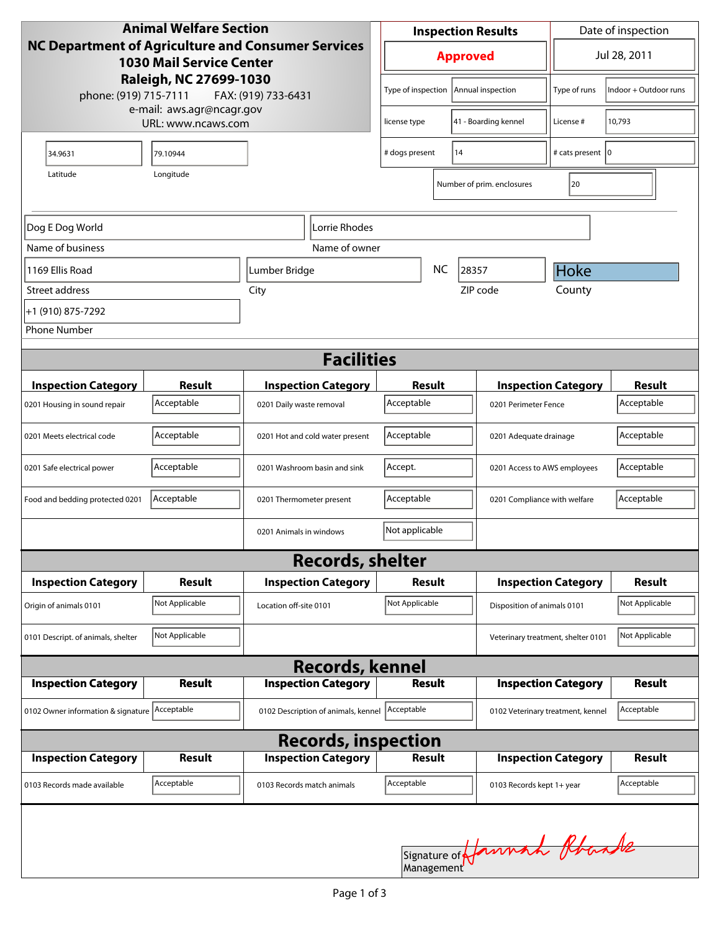| <b>Animal Welfare Section</b><br><b>NC Department of Agriculture and Consumer Services</b><br><b>1030 Mail Service Center</b><br>Raleigh, NC 27699-1030<br>phone: (919) 715-7111<br>FAX: (919) 733-6431 |                |                                     | <b>Inspection Results</b>              |  |                                    | Date of inspection           |                |  |
|---------------------------------------------------------------------------------------------------------------------------------------------------------------------------------------------------------|----------------|-------------------------------------|----------------------------------------|--|------------------------------------|------------------------------|----------------|--|
|                                                                                                                                                                                                         |                |                                     | <b>Approved</b>                        |  |                                    | Jul 28, 2011                 |                |  |
|                                                                                                                                                                                                         |                |                                     | Type of inspection   Annual inspection |  | Type of runs                       | Indoor + Outdoor runs        |                |  |
| e-mail: aws.agr@ncagr.gov<br>URL: www.ncaws.com                                                                                                                                                         |                |                                     | license type                           |  | 41 - Boarding kennel               | License #                    | 10,793         |  |
| 34.9631                                                                                                                                                                                                 | 79.10944       |                                     | 14<br># dogs present                   |  | # cats present   0                 |                              |                |  |
| Latitude                                                                                                                                                                                                | Longitude      |                                     |                                        |  | Number of prim. enclosures         | 20                           |                |  |
| Lorrie Rhodes<br>Dog E Dog World                                                                                                                                                                        |                |                                     |                                        |  |                                    |                              |                |  |
| Name of business                                                                                                                                                                                        |                | Name of owner                       |                                        |  |                                    |                              |                |  |
| 1169 Ellis Road                                                                                                                                                                                         |                | Lumber Bridge                       | <b>NC</b><br>28357                     |  |                                    | Hoke                         |                |  |
| Street address                                                                                                                                                                                          | City           |                                     |                                        |  | ZIP code                           | County                       |                |  |
| +1 (910) 875-7292                                                                                                                                                                                       |                |                                     |                                        |  |                                    |                              |                |  |
| <b>Phone Number</b>                                                                                                                                                                                     |                |                                     |                                        |  |                                    |                              |                |  |
| <b>Facilities</b>                                                                                                                                                                                       |                |                                     |                                        |  |                                    |                              |                |  |
| <b>Inspection Category</b>                                                                                                                                                                              | <b>Result</b>  | <b>Inspection Category</b>          | Result                                 |  |                                    | <b>Inspection Category</b>   | <b>Result</b>  |  |
| 0201 Housing in sound repair                                                                                                                                                                            | Acceptable     | 0201 Daily waste removal            | Acceptable                             |  | 0201 Perimeter Fence               |                              | Acceptable     |  |
| 0201 Meets electrical code                                                                                                                                                                              | Acceptable     | 0201 Hot and cold water present     | Acceptable<br>0201 Adequate drainage   |  |                                    |                              | Acceptable     |  |
| 0201 Safe electrical power                                                                                                                                                                              | Acceptable     | 0201 Washroom basin and sink        | Accept.                                |  | 0201 Access to AWS employees       |                              | Acceptable     |  |
| Food and bedding protected 0201                                                                                                                                                                         | Acceptable     | 0201 Thermometer present            | Acceptable                             |  |                                    | 0201 Compliance with welfare |                |  |
|                                                                                                                                                                                                         |                | 0201 Animals in windows             | Not applicable                         |  |                                    |                              |                |  |
|                                                                                                                                                                                                         |                | <b>Records, shelter</b>             |                                        |  |                                    |                              |                |  |
| <b>Inspection Category</b>                                                                                                                                                                              | <b>Result</b>  | <b>Inspection Category</b>          | Result                                 |  |                                    | <b>Inspection Category</b>   | <b>Result</b>  |  |
| Origin of animals 0101                                                                                                                                                                                  | Not Applicable | Location off-site 0101              | Not Applicable                         |  |                                    | Disposition of animals 0101  |                |  |
| 0101 Descript. of animals, shelter                                                                                                                                                                      | Not Applicable |                                     |                                        |  | Veterinary treatment, shelter 0101 |                              | Not Applicable |  |
| <b>Records, kennel</b>                                                                                                                                                                                  |                |                                     |                                        |  |                                    |                              |                |  |
| <b>Inspection Category</b>                                                                                                                                                                              | <b>Result</b>  | <b>Inspection Category</b>          | Result                                 |  |                                    | <b>Inspection Category</b>   | Result         |  |
| 0102 Owner information & signature Acceptable                                                                                                                                                           |                | 0102 Description of animals, kennel | Acceptable                             |  | 0102 Veterinary treatment, kennel  |                              | Acceptable     |  |
| <b>Records, inspection</b>                                                                                                                                                                              |                |                                     |                                        |  |                                    |                              |                |  |
| <b>Inspection Category</b>                                                                                                                                                                              | Result         | <b>Inspection Category</b>          | <b>Result</b>                          |  |                                    | <b>Inspection Category</b>   | <b>Result</b>  |  |
| 0103 Records made available                                                                                                                                                                             | Acceptable     | 0103 Records match animals          | Acceptable                             |  | 0103 Records kept 1+ year          |                              | Acceptable     |  |
|                                                                                                                                                                                                         |                |                                     |                                        |  | Signature of Jannach Rhande        |                              |                |  |
|                                                                                                                                                                                                         |                |                                     |                                        |  |                                    |                              |                |  |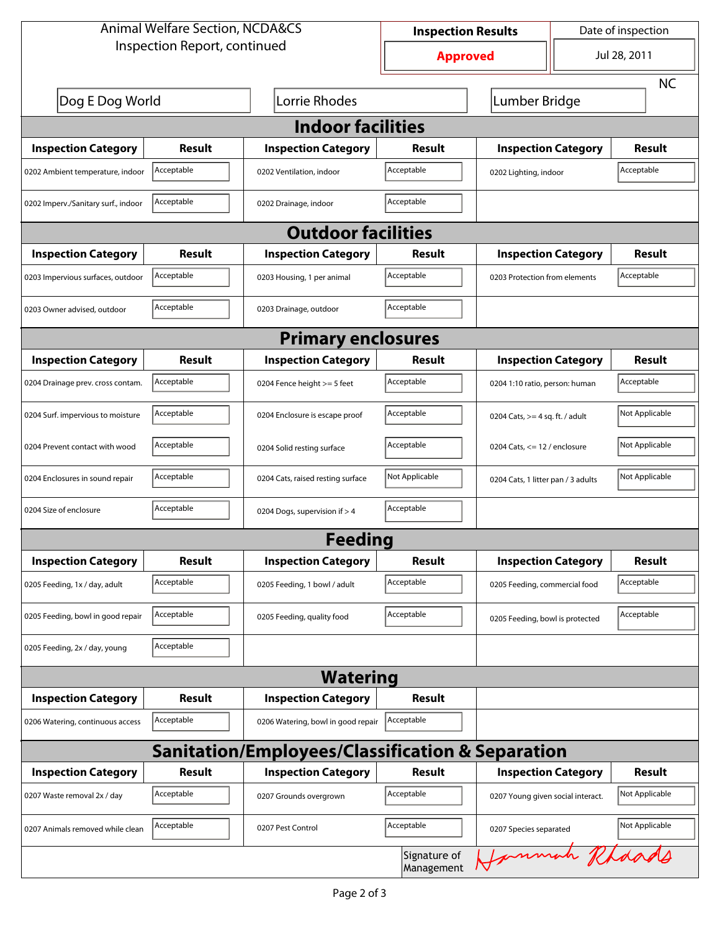| <b>Animal Welfare Section, NCDA&amp;CS</b>                  |               |                                    | <b>Inspection Results</b>  |                                     | Date of inspection |                |  |  |
|-------------------------------------------------------------|---------------|------------------------------------|----------------------------|-------------------------------------|--------------------|----------------|--|--|
| Inspection Report, continued                                |               |                                    | <b>Approved</b>            |                                     | Jul 28, 2011       |                |  |  |
|                                                             |               |                                    |                            |                                     |                    | <b>NC</b>      |  |  |
| Dog E Dog World                                             |               | Lorrie Rhodes                      |                            | Lumber Bridge                       |                    |                |  |  |
| <b>Indoor facilities</b>                                    |               |                                    |                            |                                     |                    |                |  |  |
| <b>Inspection Category</b>                                  | Result        | <b>Inspection Category</b>         | Result                     | <b>Inspection Category</b>          |                    | Result         |  |  |
| 0202 Ambient temperature, indoor                            | Acceptable    | 0202 Ventilation, indoor           | Acceptable                 | Acceptable<br>0202 Lighting, indoor |                    |                |  |  |
| 0202 Imperv./Sanitary surf., indoor                         | Acceptable    | 0202 Drainage, indoor              | Acceptable                 |                                     |                    |                |  |  |
| <b>Outdoor facilities</b>                                   |               |                                    |                            |                                     |                    |                |  |  |
| <b>Inspection Category</b>                                  | Result        | <b>Inspection Category</b>         | Result                     | <b>Inspection Category</b>          |                    | Result         |  |  |
| 0203 Impervious surfaces, outdoor                           | Acceptable    | 0203 Housing, 1 per animal         | Acceptable                 | 0203 Protection from elements       |                    | Acceptable     |  |  |
| 0203 Owner advised, outdoor                                 | Acceptable    | 0203 Drainage, outdoor             | Acceptable                 |                                     |                    |                |  |  |
| <b>Primary enclosures</b>                                   |               |                                    |                            |                                     |                    |                |  |  |
| <b>Inspection Category</b>                                  | Result        | <b>Inspection Category</b>         | Result                     | <b>Inspection Category</b>          |                    | Result         |  |  |
| 0204 Drainage prev. cross contam.                           | Acceptable    | 0204 Fence height >= 5 feet        | Acceptable                 | 0204 1:10 ratio, person: human      |                    | Acceptable     |  |  |
| 0204 Surf. impervious to moisture                           | Acceptable    | 0204 Enclosure is escape proof     | Acceptable                 | 0204 Cats, $>=$ 4 sq. ft. / adult   |                    | Not Applicable |  |  |
| 0204 Prevent contact with wood                              | Acceptable    | 0204 Solid resting surface         | Acceptable                 | 0204 Cats, $<= 12$ / enclosure      |                    | Not Applicable |  |  |
| 0204 Enclosures in sound repair                             | Acceptable    | 0204 Cats, raised resting surface  | Not Applicable             | 0204 Cats, 1 litter pan / 3 adults  |                    | Not Applicable |  |  |
| 0204 Size of enclosure                                      | Acceptable    | 0204 Dogs, supervision if > 4      | Acceptable                 |                                     |                    |                |  |  |
|                                                             |               | <b>Feeding</b>                     |                            |                                     |                    |                |  |  |
| <b>Inspection Category</b>                                  | <b>Result</b> | <b>Inspection Category</b>         | Result                     | <b>Inspection Category</b>          |                    | <b>Result</b>  |  |  |
| 0205 Feeding, 1x / day, adult                               | Acceptable    | 0205 Feeding, 1 bowl / adult       | Acceptable                 | 0205 Feeding, commercial food       |                    | Acceptable     |  |  |
| 0205 Feeding, bowl in good repair                           | Acceptable    | 0205 Feeding, quality food         | Acceptable                 | 0205 Feeding, bowl is protected     |                    | Acceptable     |  |  |
| 0205 Feeding, 2x / day, young                               | Acceptable    |                                    |                            |                                     |                    |                |  |  |
| <b>Watering</b>                                             |               |                                    |                            |                                     |                    |                |  |  |
| <b>Inspection Category</b>                                  | <b>Result</b> | <b>Inspection Category</b>         | Result                     |                                     |                    |                |  |  |
| 0206 Watering, continuous access                            | Acceptable    | 0206 Watering, bowl in good repair | Acceptable                 |                                     |                    |                |  |  |
| <b>Sanitation/Employees/Classification &amp; Separation</b> |               |                                    |                            |                                     |                    |                |  |  |
| <b>Inspection Category</b>                                  | <b>Result</b> | <b>Inspection Category</b>         | Result                     | <b>Inspection Category</b>          |                    | <b>Result</b>  |  |  |
| 0207 Waste removal 2x / day                                 | Acceptable    | 0207 Grounds overgrown             | Acceptable                 | 0207 Young given social interact.   |                    | Not Applicable |  |  |
| 0207 Animals removed while clean                            | Acceptable    | 0207 Pest Control                  | Acceptable                 | 0207 Species separated              |                    | Not Applicable |  |  |
|                                                             |               |                                    | Signature of<br>Management | Jannah Rhaads                       |                    |                |  |  |